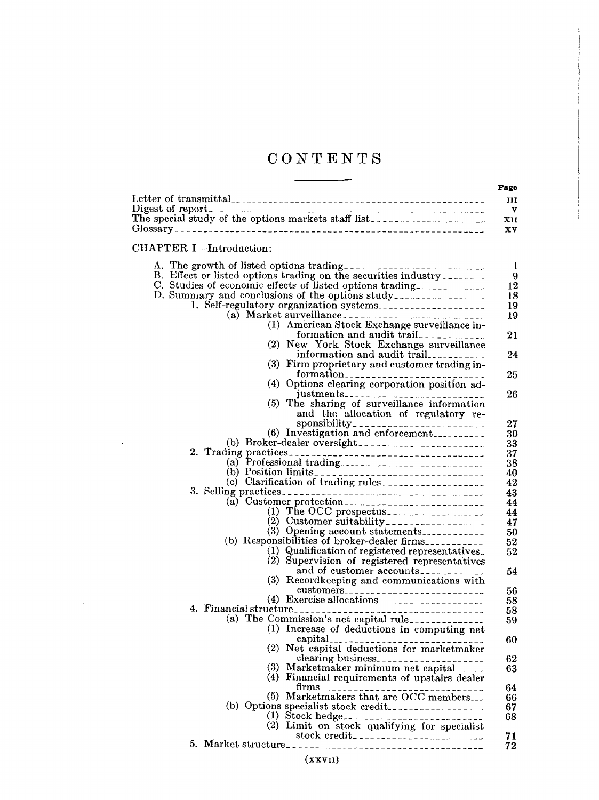# **CONTENTS**

|                                                                                                                                                                                                                                                                                                                                                                                                                                                                                                                                                                                                                                                                                                                                                                                                                                                                                                                                                                                                                                                                                                                                                                                                                                                                                                                                                                                                                        | (b) Responsibilities of broker-dealer firms. |
|------------------------------------------------------------------------------------------------------------------------------------------------------------------------------------------------------------------------------------------------------------------------------------------------------------------------------------------------------------------------------------------------------------------------------------------------------------------------------------------------------------------------------------------------------------------------------------------------------------------------------------------------------------------------------------------------------------------------------------------------------------------------------------------------------------------------------------------------------------------------------------------------------------------------------------------------------------------------------------------------------------------------------------------------------------------------------------------------------------------------------------------------------------------------------------------------------------------------------------------------------------------------------------------------------------------------------------------------------------------------------------------------------------------------|----------------------------------------------|
|                                                                                                                                                                                                                                                                                                                                                                                                                                                                                                                                                                                                                                                                                                                                                                                                                                                                                                                                                                                                                                                                                                                                                                                                                                                                                                                                                                                                                        |                                              |
|                                                                                                                                                                                                                                                                                                                                                                                                                                                                                                                                                                                                                                                                                                                                                                                                                                                                                                                                                                                                                                                                                                                                                                                                                                                                                                                                                                                                                        |                                              |
|                                                                                                                                                                                                                                                                                                                                                                                                                                                                                                                                                                                                                                                                                                                                                                                                                                                                                                                                                                                                                                                                                                                                                                                                                                                                                                                                                                                                                        |                                              |
|                                                                                                                                                                                                                                                                                                                                                                                                                                                                                                                                                                                                                                                                                                                                                                                                                                                                                                                                                                                                                                                                                                                                                                                                                                                                                                                                                                                                                        |                                              |
|                                                                                                                                                                                                                                                                                                                                                                                                                                                                                                                                                                                                                                                                                                                                                                                                                                                                                                                                                                                                                                                                                                                                                                                                                                                                                                                                                                                                                        |                                              |
| CHAPTER I-Introduction:<br>A. The growth of listed options trading-------------------------<br>B. Effect or listed options trading on the securities industry<br>C. Studies of economic effects of listed options trading------------<br>D. Summary and conclusions of the options study.<br>(1) American Stock Exchange surveillance in-<br>formation and audit trail<br>(2) New York Stock Exchange surveillance<br>information and audit trail<br>(3) Firm proprietary and customer trading in-<br>(4) Options clearing corporation position ad-<br>(5)<br>The sharing of surveillance information<br>and the allocation of regulatory re-<br>(6) Investigation and enforcement<br>(a) Customer protection<br>(1) The OCC prospectus <sub>-----------------</sub><br>(3) Opening account statements<br>(1) Qualification of registered representatives.<br>(2) Supervision of registered representatives<br>and of customer accounts<br>(3) Recordkeeping and communications with<br>$(4)$ Exercise allocations.<br>4. Financial structure<br>(1) Increase of deductions in computing net<br>(2) Net capital deductions for marketmaker<br>(3) Marketmaker minimum net capital<br>(4) Financial requirements of upstairs dealer<br>(5) Marketmakers that are OCC members<br>(1) Stock hedge-----------------------------<br>(2) Limit on stock qualifying for specialist<br>stock credit___________________________ |                                              |
|                                                                                                                                                                                                                                                                                                                                                                                                                                                                                                                                                                                                                                                                                                                                                                                                                                                                                                                                                                                                                                                                                                                                                                                                                                                                                                                                                                                                                        |                                              |
|                                                                                                                                                                                                                                                                                                                                                                                                                                                                                                                                                                                                                                                                                                                                                                                                                                                                                                                                                                                                                                                                                                                                                                                                                                                                                                                                                                                                                        |                                              |
|                                                                                                                                                                                                                                                                                                                                                                                                                                                                                                                                                                                                                                                                                                                                                                                                                                                                                                                                                                                                                                                                                                                                                                                                                                                                                                                                                                                                                        |                                              |
|                                                                                                                                                                                                                                                                                                                                                                                                                                                                                                                                                                                                                                                                                                                                                                                                                                                                                                                                                                                                                                                                                                                                                                                                                                                                                                                                                                                                                        |                                              |
|                                                                                                                                                                                                                                                                                                                                                                                                                                                                                                                                                                                                                                                                                                                                                                                                                                                                                                                                                                                                                                                                                                                                                                                                                                                                                                                                                                                                                        |                                              |
|                                                                                                                                                                                                                                                                                                                                                                                                                                                                                                                                                                                                                                                                                                                                                                                                                                                                                                                                                                                                                                                                                                                                                                                                                                                                                                                                                                                                                        |                                              |
|                                                                                                                                                                                                                                                                                                                                                                                                                                                                                                                                                                                                                                                                                                                                                                                                                                                                                                                                                                                                                                                                                                                                                                                                                                                                                                                                                                                                                        |                                              |
|                                                                                                                                                                                                                                                                                                                                                                                                                                                                                                                                                                                                                                                                                                                                                                                                                                                                                                                                                                                                                                                                                                                                                                                                                                                                                                                                                                                                                        |                                              |
|                                                                                                                                                                                                                                                                                                                                                                                                                                                                                                                                                                                                                                                                                                                                                                                                                                                                                                                                                                                                                                                                                                                                                                                                                                                                                                                                                                                                                        |                                              |
|                                                                                                                                                                                                                                                                                                                                                                                                                                                                                                                                                                                                                                                                                                                                                                                                                                                                                                                                                                                                                                                                                                                                                                                                                                                                                                                                                                                                                        |                                              |
|                                                                                                                                                                                                                                                                                                                                                                                                                                                                                                                                                                                                                                                                                                                                                                                                                                                                                                                                                                                                                                                                                                                                                                                                                                                                                                                                                                                                                        |                                              |
|                                                                                                                                                                                                                                                                                                                                                                                                                                                                                                                                                                                                                                                                                                                                                                                                                                                                                                                                                                                                                                                                                                                                                                                                                                                                                                                                                                                                                        |                                              |
|                                                                                                                                                                                                                                                                                                                                                                                                                                                                                                                                                                                                                                                                                                                                                                                                                                                                                                                                                                                                                                                                                                                                                                                                                                                                                                                                                                                                                        |                                              |

 $\bar{z}$ 

 $\bar{\mathcal{A}}$ 

(XXVII)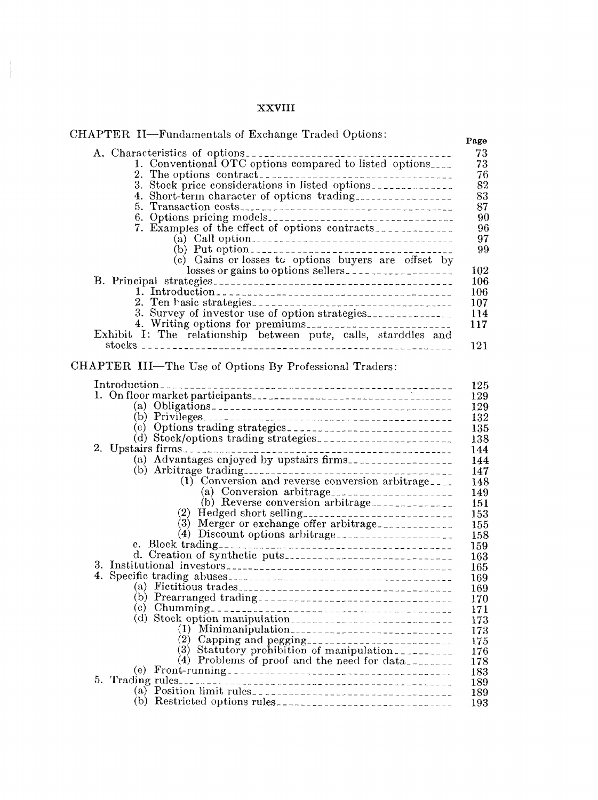## XXVIII

 $\frac{1}{2}$ 

| CHAPTER II—Fundamentals of Exchange Traded Options:<br>Page                                           |
|-------------------------------------------------------------------------------------------------------|
| 73<br>1. Conventional OTC options compared to listed options<br>73<br>76                              |
| 82                                                                                                    |
| 83<br>4. Short-term character of options trading.                                                     |
| 87                                                                                                    |
| 90                                                                                                    |
| 96                                                                                                    |
| 97                                                                                                    |
| 99                                                                                                    |
| (c) Gains or losses to options buyers are offset by                                                   |
| losses or gains to options sellers.<br>102                                                            |
| 106                                                                                                   |
| 106<br>107                                                                                            |
| 114                                                                                                   |
| 117                                                                                                   |
| Exhibit I: The relationship between puts, calls, starddles and                                        |
| 121                                                                                                   |
|                                                                                                       |
| CHAPTER III-The Use of Options By Professional Traders:                                               |
| 125                                                                                                   |
| 129                                                                                                   |
| 129                                                                                                   |
| 132                                                                                                   |
| 135                                                                                                   |
| 138                                                                                                   |
| 2. Upstairs firms.<br>(a) Advantages enjoyed by upstairs firms.<br>144                                |
| 144                                                                                                   |
| 147                                                                                                   |
| $(1)$ Conversion and reverse conversion arbitrage.<br>148                                             |
| 149                                                                                                   |
| (b) Reverse conversion arbitrage<br>151                                                               |
| (2) Hedged short selling----------------------------<br>153<br>(3) Merger or exchange offer arbitrage |
| 155<br>(4) Discount options arbitrage<br>158                                                          |
| 159                                                                                                   |
| 163                                                                                                   |
| 165                                                                                                   |
| 169                                                                                                   |
| 169                                                                                                   |
| 170                                                                                                   |
| 171                                                                                                   |
| (d) Stock option manipulation<br>173                                                                  |
| $(1)$ Minimanipulation<br>173<br>(2)                                                                  |
| 175<br>(3) Statutory prohibition of manipulation<br>176                                               |
| (4) Problems of proof and the need for data<br>178                                                    |
| 183                                                                                                   |
| 189                                                                                                   |
| 189                                                                                                   |
| 193                                                                                                   |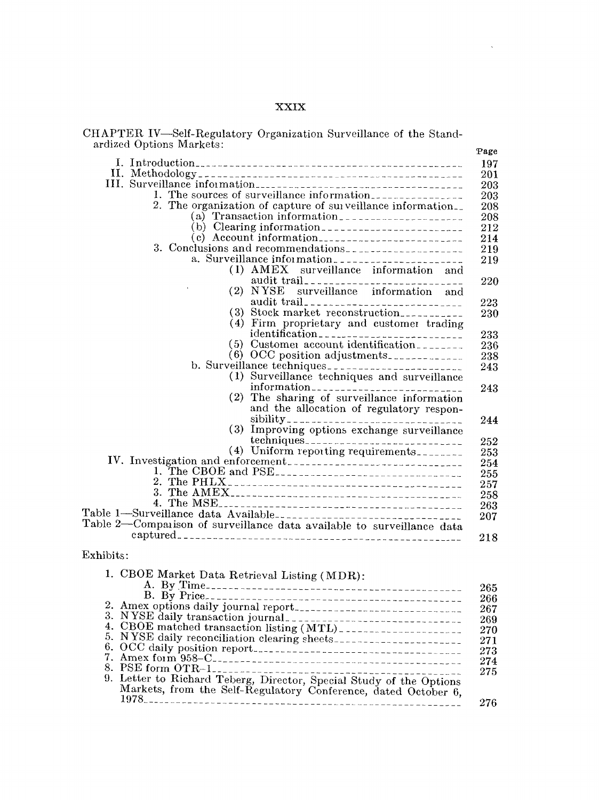# XXIX

 $\mathcal{L}_{\mathbf{q}}$ 

| CHAPTER IV-Self-Regulatory Organization Surveillance of the Stand- |  |  |  |
|--------------------------------------------------------------------|--|--|--|
| ardized Options Markets:                                           |  |  |  |

| arqued options markets:<br>Page<br>2. The organization of capture of surveillance information.<br>(a) Transaction information<br>3. Conclusions and recommendations<br>$(1)$ $\land$ $\text{MEX}$<br>surveillance information and<br><b>NYSE</b><br>(2)<br>surveillance information and<br>(3)<br>Stock market reconstruction<br>Firm proprietary and customer trading<br>(4)<br>(5)<br>Customer account identification<br>(6) OCC position adjustments.<br>(1)<br>Surveillance techniques and surveillance<br>(2)<br>The sharing of surveillance information<br>and the allocation of regulatory respon-<br>(3)<br>(4) Uniform reporting requirements<br>Table 1—Surveillance data Available----------------------------------<br>Table 2—Comparison of surveillance data available to surveillance data |  |
|-----------------------------------------------------------------------------------------------------------------------------------------------------------------------------------------------------------------------------------------------------------------------------------------------------------------------------------------------------------------------------------------------------------------------------------------------------------------------------------------------------------------------------------------------------------------------------------------------------------------------------------------------------------------------------------------------------------------------------------------------------------------------------------------------------------|--|
|                                                                                                                                                                                                                                                                                                                                                                                                                                                                                                                                                                                                                                                                                                                                                                                                           |  |
|                                                                                                                                                                                                                                                                                                                                                                                                                                                                                                                                                                                                                                                                                                                                                                                                           |  |
|                                                                                                                                                                                                                                                                                                                                                                                                                                                                                                                                                                                                                                                                                                                                                                                                           |  |
|                                                                                                                                                                                                                                                                                                                                                                                                                                                                                                                                                                                                                                                                                                                                                                                                           |  |
|                                                                                                                                                                                                                                                                                                                                                                                                                                                                                                                                                                                                                                                                                                                                                                                                           |  |
|                                                                                                                                                                                                                                                                                                                                                                                                                                                                                                                                                                                                                                                                                                                                                                                                           |  |
|                                                                                                                                                                                                                                                                                                                                                                                                                                                                                                                                                                                                                                                                                                                                                                                                           |  |
|                                                                                                                                                                                                                                                                                                                                                                                                                                                                                                                                                                                                                                                                                                                                                                                                           |  |
|                                                                                                                                                                                                                                                                                                                                                                                                                                                                                                                                                                                                                                                                                                                                                                                                           |  |
|                                                                                                                                                                                                                                                                                                                                                                                                                                                                                                                                                                                                                                                                                                                                                                                                           |  |
|                                                                                                                                                                                                                                                                                                                                                                                                                                                                                                                                                                                                                                                                                                                                                                                                           |  |
|                                                                                                                                                                                                                                                                                                                                                                                                                                                                                                                                                                                                                                                                                                                                                                                                           |  |
|                                                                                                                                                                                                                                                                                                                                                                                                                                                                                                                                                                                                                                                                                                                                                                                                           |  |
|                                                                                                                                                                                                                                                                                                                                                                                                                                                                                                                                                                                                                                                                                                                                                                                                           |  |
|                                                                                                                                                                                                                                                                                                                                                                                                                                                                                                                                                                                                                                                                                                                                                                                                           |  |
|                                                                                                                                                                                                                                                                                                                                                                                                                                                                                                                                                                                                                                                                                                                                                                                                           |  |
|                                                                                                                                                                                                                                                                                                                                                                                                                                                                                                                                                                                                                                                                                                                                                                                                           |  |
|                                                                                                                                                                                                                                                                                                                                                                                                                                                                                                                                                                                                                                                                                                                                                                                                           |  |
|                                                                                                                                                                                                                                                                                                                                                                                                                                                                                                                                                                                                                                                                                                                                                                                                           |  |
|                                                                                                                                                                                                                                                                                                                                                                                                                                                                                                                                                                                                                                                                                                                                                                                                           |  |
|                                                                                                                                                                                                                                                                                                                                                                                                                                                                                                                                                                                                                                                                                                                                                                                                           |  |
|                                                                                                                                                                                                                                                                                                                                                                                                                                                                                                                                                                                                                                                                                                                                                                                                           |  |
|                                                                                                                                                                                                                                                                                                                                                                                                                                                                                                                                                                                                                                                                                                                                                                                                           |  |
|                                                                                                                                                                                                                                                                                                                                                                                                                                                                                                                                                                                                                                                                                                                                                                                                           |  |
|                                                                                                                                                                                                                                                                                                                                                                                                                                                                                                                                                                                                                                                                                                                                                                                                           |  |
|                                                                                                                                                                                                                                                                                                                                                                                                                                                                                                                                                                                                                                                                                                                                                                                                           |  |
|                                                                                                                                                                                                                                                                                                                                                                                                                                                                                                                                                                                                                                                                                                                                                                                                           |  |
|                                                                                                                                                                                                                                                                                                                                                                                                                                                                                                                                                                                                                                                                                                                                                                                                           |  |

## Exhibits:

| 1. CBOE Market Data Retrieval Listing (MDR):                        |
|---------------------------------------------------------------------|
|                                                                     |
|                                                                     |
|                                                                     |
|                                                                     |
|                                                                     |
| 5. NYSE daily reconciliation clearing sheets----------------------- |
|                                                                     |
|                                                                     |
|                                                                     |
| 9. Letter to Richard Teberg, Director, Special Study of the Options |
| Markets, from the Self-Regulatory Conference, dated October 6,      |
|                                                                     |
|                                                                     |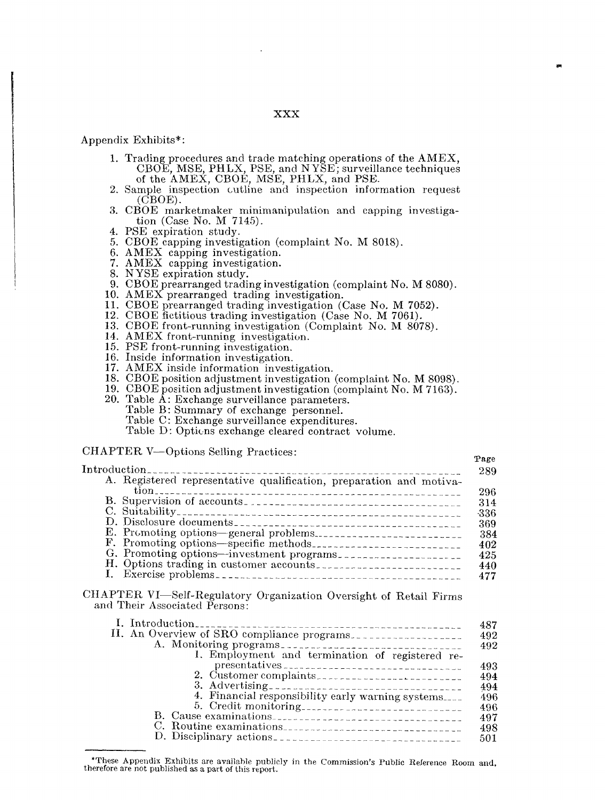#### XXX

#### Appendix Exhibits\*:

- 1. Trading procedures and trade matching operations of the AMEX, CBOE, MSE, PHLX, PSE, and NYSE; surveillance techniques of the AMEX, CBOE, MSE, PHLX, and PSE.
- 2. Sample inspection outline and inspection information request (CBOE).
- 3. CBOE marketmaker minimanipulation and capping investigation (Case No. M 7145).
- 4. PSE expiration study.
- 5. CBOE capping investigation (complaint No. M 8018).
- 6. AMEX capping investigation.
- 7. AMEX capping investigation.
- 8. N YSE expiration study.
- 9. CBOE prearranged trading investigation (complaint No. M 8080).
- 10. AMEX prearranged trading investigation.
- 11. CBOE prearranged trading investigation (Case No. M 7052).
- 12. CBOE fictitious trading investigation (Case No. M 7061).
- 13. CBOE front-running investigation (Complaint No. M 8078).
- 14. AMEX front-running investigation.
- 15. PSE front-running investigation.
- 16. Inside information investigation.
- 17. AMEX inside information investigation.
- 18. CBOE position adjustment investigation (complaint No. M 8098).
- 19. CBOE position adjustment investigation (complaint No. M 7163).
- 20. Table A: Exchange surveillance parameters.
	- Table B: Summary of exchange personnel.
	- Table C: Exchange surveillance expenditures.
	- Table D: Options exchange cleared contract volume.

#### CHAPTER V-Options Selling Practices:

# Introduction ...................................................... A. Registered representative qualification, preparation and motiva- 289 tion ...................................................... <sup>296</sup> B. Supervision of accounts ...................................... <sup>314</sup> C. Suitability ................................................. -336 D. Disclosure documents ....................................... <sup>369</sup> E. PrCmoting options--general problems\_\_\_ <sup>384</sup> F. Promoting options--specific methods .......................... <sup>402</sup> G. Promoting options--investment programs\_\_ <sup>425</sup> H. Options trading in customer accounts ......................... <sup>440</sup> I. Exercise problems .......................................... <sup>477</sup>

~)age

### CHAPTER VI-Self-Regulatory Organization Oversight of Retail Firms and Their Associated Persons:

| II. An Overview of SRO compliance programs.       |
|---------------------------------------------------|
|                                                   |
| 1. Employment and termination of registered re-   |
| 2. Customer complaints.                           |
|                                                   |
| 4. Financial responsibility early warning systems |
|                                                   |
|                                                   |
| C. Routine examinations.                          |
|                                                   |
|                                                   |

<sup>\*</sup>These Appendix Exhibits are available publicly in the Commission's Public Reference Room and, therefore are not published as a part of this report.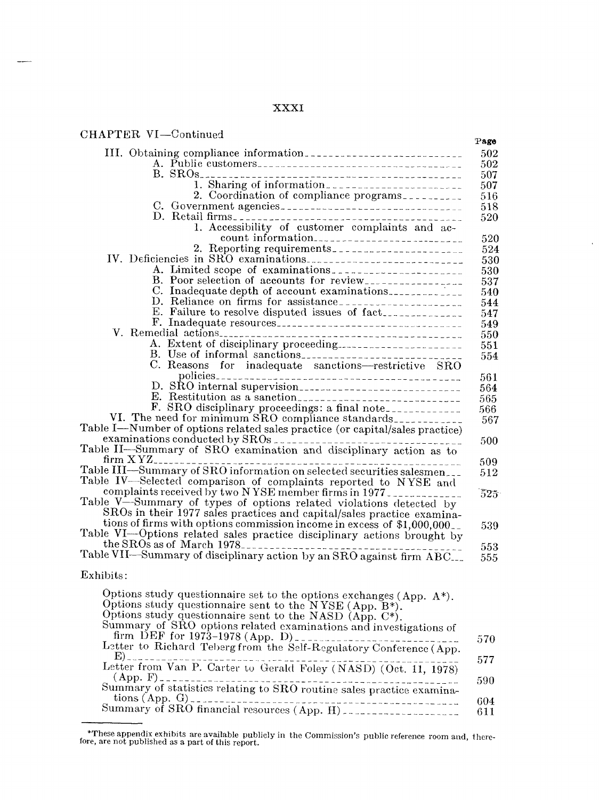## XXXI

 $\hat{\mathcal{C}}$ 

| CHAPTER VI-Continued                                                                                                        | Page |
|-----------------------------------------------------------------------------------------------------------------------------|------|
|                                                                                                                             | 502  |
|                                                                                                                             | 502  |
|                                                                                                                             | 507  |
| 1. Sharing of information                                                                                                   | 507  |
| 2. Coordination of compliance programs.                                                                                     | 516  |
| C. Government agencies                                                                                                      | 518  |
|                                                                                                                             | 520  |
| 1. Accessibility of customer complaints and ac-                                                                             |      |
|                                                                                                                             | 520  |
|                                                                                                                             | 524  |
|                                                                                                                             | 530  |
| A. Limited scope of examinations.                                                                                           | 530  |
| B. Poor selection of accounts for review                                                                                    | 537  |
| C. Inadequate depth of account examinations.                                                                                | 540  |
|                                                                                                                             | 544  |
| E. Failure to resolve disputed issues of fact                                                                               | 547  |
|                                                                                                                             | 549  |
|                                                                                                                             | 550  |
|                                                                                                                             | 551  |
| B. Use of informal sanctions                                                                                                | 554  |
| C. Reasons for inadequate sanctions-restrictive SRO                                                                         |      |
|                                                                                                                             | 561  |
| D. SRO internal supervision                                                                                                 | 564  |
|                                                                                                                             | 565  |
| F. SRO disciplinary proceedings: a final note____________<br>VI. The need for minimum SRO compliance standards_____________ | 566  |
| Table I-Number of options related sales practice (or capital/sales practice)                                                | 567  |
|                                                                                                                             |      |
| Table II-Summary of SRO examination and disciplinary action as to                                                           | 500  |
|                                                                                                                             |      |
| Table III—Summary of SRO information on selected securities salesmen___                                                     | 509  |
| Table IV-Selected comparison of complaints reported to NYSE and                                                             | 512  |
| complaints received by two NYSE member firms in 1977                                                                        | 525  |
| Table V-Summary of types of options related violations detected by                                                          |      |
| SROs in their 1977 sales practices and capital/sales practice examina-                                                      |      |
| tions of firms with options commission income in excess of \$1,000,000.                                                     | 539  |
| Table VI-Options related sales practice disciplinary actions brought by                                                     |      |
|                                                                                                                             | 553  |
| the SROs as of March 1978.                                                                                                  | 555  |
|                                                                                                                             |      |
| Exhibits:                                                                                                                   |      |
|                                                                                                                             |      |
| Options study questionnaire set to the options exchanges (App. $A^*$ ).                                                     |      |
| Options study questionnaire sent to the NYSE (App. B*).                                                                     |      |
| Options study questionnaire sent to the NASD (App. C*).                                                                     |      |
| Summary of SRO options related examinations and investigations of                                                           |      |
| firm DEF for 1973-1978 (App. D)<br>Letter to Richard Teberg from the Self-Regulatory Conference (App.                       | 570  |
|                                                                                                                             |      |
| E)<br>Letter from Van P. Carter to Gerald Foley (NASD) (Oct. 11, 1978)                                                      | 577  |
|                                                                                                                             |      |
| $(\text{App. F})$<br>Summary of statistics relating to SRO routine sales practice examina-                                  | 590  |
|                                                                                                                             |      |
|                                                                                                                             | 604  |
|                                                                                                                             | 611  |

<sup>\*</sup>These appendix exhibits are available publicly in the Commission's public reference room and,there- fore, are not published as a part of this report.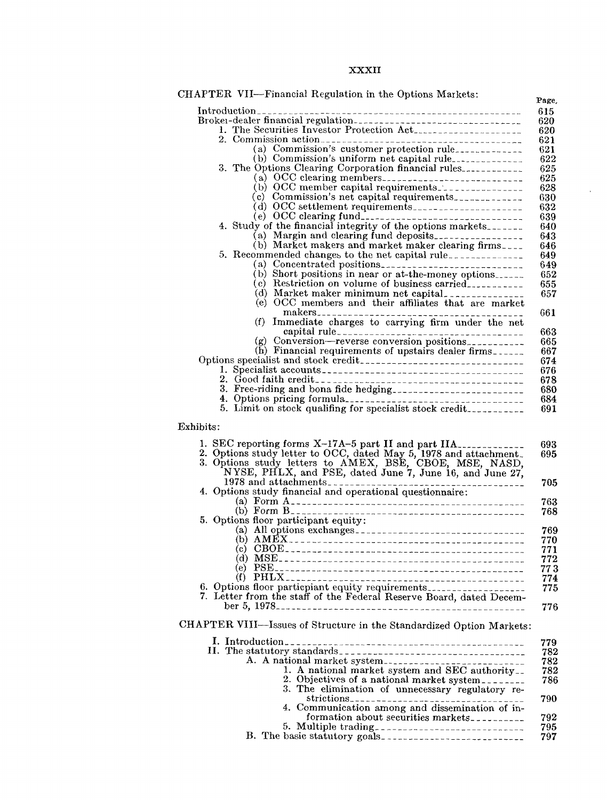## XXXII

 $\mathcal{A}^{\pm}$ 

| CHAPTER VII-Financial Regulation in the Options Markets:                                                                                                                                                                                                  |
|-----------------------------------------------------------------------------------------------------------------------------------------------------------------------------------------------------------------------------------------------------------|
|                                                                                                                                                                                                                                                           |
| Broker-dealer financial regulation-contractor and contact the state of the state of the state of the state of the state of the state of the state of the state of the state of the state of the state of the state of the stat                            |
| 1. The Securities Investor Protection Act.                                                                                                                                                                                                                |
|                                                                                                                                                                                                                                                           |
| (a) Commission's customer protection rule_____________                                                                                                                                                                                                    |
| (b) Commission's uniform net capital rule______________                                                                                                                                                                                                   |
| 3. The Options Clearing Corporation financial rules                                                                                                                                                                                                       |
|                                                                                                                                                                                                                                                           |
| (b) OCC member capital requirements.                                                                                                                                                                                                                      |
| (c) Commission's net capital requirements.                                                                                                                                                                                                                |
|                                                                                                                                                                                                                                                           |
|                                                                                                                                                                                                                                                           |
| 4. Study of the financial integrity of the options markets.                                                                                                                                                                                               |
| (a) Margin and clearing fund deposits                                                                                                                                                                                                                     |
| (b) Market makers and market maker clearing firms.                                                                                                                                                                                                        |
| 5. Recommended changes to the net capital rule.                                                                                                                                                                                                           |
| (a) Concentrated positions                                                                                                                                                                                                                                |
| (b) Short positions in near or at-the-money options                                                                                                                                                                                                       |
| (c) Restriction on volume of business carried.                                                                                                                                                                                                            |
| (d) Market maker minimum net capital.                                                                                                                                                                                                                     |
| (e) OCC members and their affiliates that are market                                                                                                                                                                                                      |
|                                                                                                                                                                                                                                                           |
| Immediate charges to carrying firm under the net<br>(f)                                                                                                                                                                                                   |
|                                                                                                                                                                                                                                                           |
|                                                                                                                                                                                                                                                           |
| (g) Conversion-reverse conversion positions                                                                                                                                                                                                               |
| (h) Financial requirements of upstairs dealer firms                                                                                                                                                                                                       |
|                                                                                                                                                                                                                                                           |
|                                                                                                                                                                                                                                                           |
|                                                                                                                                                                                                                                                           |
| 3. Free-riding and bona fide hedging                                                                                                                                                                                                                      |
|                                                                                                                                                                                                                                                           |
|                                                                                                                                                                                                                                                           |
| 1. SEC reporting forms X-17A-5 part II and part IIA_____________<br>2. Options study letter to OCC, dated May 5, 1978 and attachment.<br>3. Options study letters to AMEX, BSE, CBOE, MSE, NASD, NYSE, PHLX, and PSE, dated June 7, June 16, and June 27, |
|                                                                                                                                                                                                                                                           |
| 5. Options floor participant equity:                                                                                                                                                                                                                      |
|                                                                                                                                                                                                                                                           |
| (b) $AMEX$                                                                                                                                                                                                                                                |
|                                                                                                                                                                                                                                                           |
|                                                                                                                                                                                                                                                           |
|                                                                                                                                                                                                                                                           |
|                                                                                                                                                                                                                                                           |
| 6. Options floor particpiant equity requirements                                                                                                                                                                                                          |
| 7. Letter from the staff of the Federal Reserve Board, dated Decem-                                                                                                                                                                                       |
|                                                                                                                                                                                                                                                           |
|                                                                                                                                                                                                                                                           |
| CHAPTER VIII-Issues of Structure in the Standardized Option Markets:                                                                                                                                                                                      |
|                                                                                                                                                                                                                                                           |
|                                                                                                                                                                                                                                                           |
| A. A national market system                                                                                                                                                                                                                               |
| 1. A national market system and SEC authority                                                                                                                                                                                                             |
| 2. Objectives of a national market system.                                                                                                                                                                                                                |
| 3. The elimination of unnecessary regulatory re-                                                                                                                                                                                                          |
|                                                                                                                                                                                                                                                           |
| 4. Communication among and dissemination of in-                                                                                                                                                                                                           |
| formation about securities markets                                                                                                                                                                                                                        |
|                                                                                                                                                                                                                                                           |
|                                                                                                                                                                                                                                                           |
|                                                                                                                                                                                                                                                           |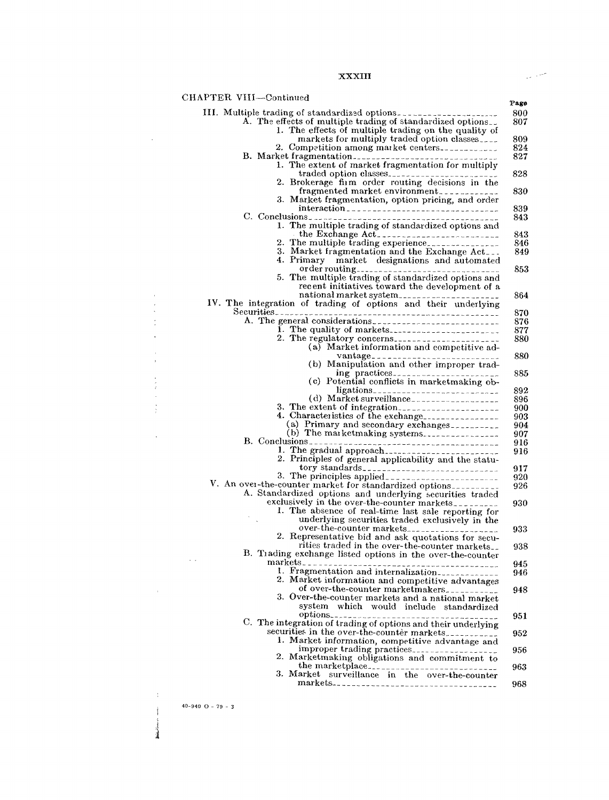#### XXXIII

| CHAPTER VIII-Continued |                                                                                                          |
|------------------------|----------------------------------------------------------------------------------------------------------|
|                        | III. Multiple trading of standardized options.                                                           |
|                        | A. The effects of multiple trading of standardized options.                                              |
|                        | 1. The effects of multiple trading on the quality of                                                     |
|                        | markets for multiply traded option classes                                                               |
|                        | 2. Competition among market centers.                                                                     |
|                        | 1. The extent of market fragmentation for multiply                                                       |
|                        |                                                                                                          |
|                        | 2. Brokerage firm order routing decisions in the                                                         |
|                        | fragmented market environment.                                                                           |
|                        | 3. Market fragmentation, option pricing, and order                                                       |
|                        | interaction <sub>------------------------------</sub>                                                    |
|                        |                                                                                                          |
|                        | 1. The multiple trading of standardized options and                                                      |
|                        | the Exchange Act.                                                                                        |
|                        | 2. The multiple trading experience.                                                                      |
|                        | 3. Market fragmentation and the Exchange Act<br>4. Primary market designations and automated             |
|                        |                                                                                                          |
|                        | 5. The multiple trading of standardized options and                                                      |
|                        | recent initiatives toward the development of a                                                           |
|                        |                                                                                                          |
|                        | IV. The integration of trading of options and their underlying                                           |
|                        |                                                                                                          |
|                        |                                                                                                          |
|                        | I. The quality of markets                                                                                |
|                        | (a) Market information and competitive ad-                                                               |
|                        | vantage_____________________________                                                                     |
|                        | (b) Manipulation and other improper trad-                                                                |
|                        |                                                                                                          |
|                        | (c) Potential conflicts in marketmaking ob-                                                              |
|                        | ligations <sub>---------------------------</sub>                                                         |
|                        | (d) Market surveillance                                                                                  |
|                        |                                                                                                          |
|                        | 4. Characteristics of the exchange<br>(a) Primary and secondary exchanges                                |
|                        | (b) The marketmaking systems.                                                                            |
|                        |                                                                                                          |
|                        |                                                                                                          |
|                        | 2. Principles of general applicability and the statu-                                                    |
|                        |                                                                                                          |
|                        |                                                                                                          |
|                        | V. An over-the-counter market for standardized options                                                   |
|                        | A. Standardized options and underlying securities traded<br>exclusively in the over-the-counter markets. |
|                        | 1. The absence of real-time last sale reporting for                                                      |
|                        | underlying securities traded exclusively in the                                                          |
|                        | over-the-counter markets                                                                                 |
|                        | 2. Representative bid and ask quotations for secu-                                                       |
|                        | rities traded in the over-the-counter markets.                                                           |
|                        | B. Trading exchange listed options in the over-the-counter                                               |
|                        | 1. Fragmentation and internalization                                                                     |
|                        | 2. Market information and competitive advantages                                                         |
|                        | of over-the-counter marketmakers.                                                                        |
|                        | 3. Over-the-counter markets and a national market                                                        |
|                        | system which would include standardized                                                                  |
|                        |                                                                                                          |
|                        | C. The integration of trading of options and their underlying                                            |
|                        | securities in the over-the-counter markets.                                                              |
|                        | 1. Market information, competitive advantage and                                                         |
|                        | improper trading practices                                                                               |
|                        | 2. Marketmaking obligations and commitment to                                                            |
|                        | 3. Market<br>surveillance in the over-the-counter                                                        |
|                        |                                                                                                          |
|                        | markets-----------------------------------                                                               |

40-940 O - 79 - 3

 $\mathcal{L}^{\text{max}}_{\text{max}}$ 

 $\hat{\boldsymbol{\beta}}$  $\frac{1}{2}$  $\frac{\epsilon}{\epsilon}$ 

 $\frac{1}{2}$ 

 $\frac{1}{2}$ 

 $\alpha$ 

 $\sim 0.1$ 

 $\mathcal{A}^{\mathcal{A}}$  $\mathfrak{f}$ **Michailtean** 

 $\sim 10^{11}$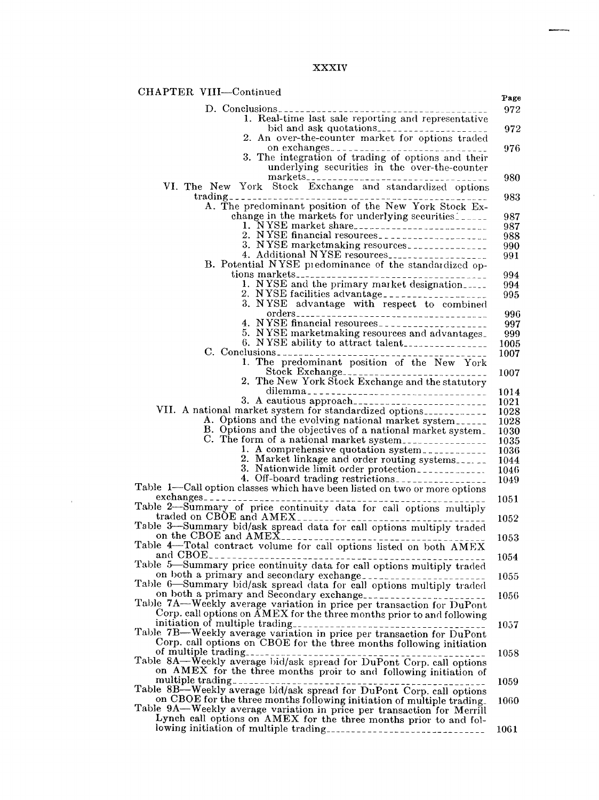## XXXIV

 $\hat{\mathcal{A}}$ 

| CHAPTER VIII-Continued                                                                                                                           | Page         |
|--------------------------------------------------------------------------------------------------------------------------------------------------|--------------|
|                                                                                                                                                  | 972          |
| 1. Real-time last sale reporting and representative                                                                                              |              |
| 2. An over-the-counter market for options traded                                                                                                 | 972          |
| on exchanges                                                                                                                                     | 976          |
| 3. The integration of trading of options and their                                                                                               |              |
| underlying securities in the over-the-counter                                                                                                    |              |
| VI. The New York Stock Exchange and standardized options                                                                                         | 980          |
| $trading_{\texttt{---}}$ $\texttt{---}$ $\texttt{---}$ $\texttt{---}$ $\texttt{---}$ $\texttt{---}$ $\texttt{---}$ $\texttt{---}$ $\texttt{---}$ | 983          |
| A. The predominant position of the New York Stock Ex-                                                                                            |              |
| change in the markets for underlying securities.                                                                                                 | 987<br>987   |
| 2. NYSE financial resources                                                                                                                      | 988          |
| 3. NYSE marketmaking resources                                                                                                                   | 990          |
| 4. Additional NYSE resources<br>B. Potential NYSE predominance of the standardized op-                                                           | 991          |
|                                                                                                                                                  | 994          |
| 1. NYSE and the primary market designation                                                                                                       | 994          |
| 3. NYSE advantage with respect to combined                                                                                                       | 995          |
|                                                                                                                                                  | 996          |
|                                                                                                                                                  | 997          |
| 5. NYSE marketmaking resources and advantages_<br>6. NYSE ability to attract talent                                                              | 999<br>1005  |
|                                                                                                                                                  | 1007         |
| 1. The predominant position of the New York                                                                                                      |              |
| Stock Exchange<br>2. The New York Stock Exchange and the statutory                                                                               | 1007         |
| dilemma                                                                                                                                          | 1014         |
|                                                                                                                                                  | 1021         |
| VII. A national market system for standardized options____________<br>A. Options and the evolving national market system                         | 1028<br>1028 |
| B. Options and the objectives of a national market system.                                                                                       | 1030         |
| C. The form of a national market system.                                                                                                         | 1035         |
| 1. A comprehensive quotation system.<br>2. Market linkage and order routing systems                                                              | 1036<br>1044 |
| 3. Nationwide limit order protection                                                                                                             | 1046         |
| 4. Off-board trading restrictions.                                                                                                               | 1049         |
| Table 1-Call option classes which have been listed on two or more options                                                                        |              |
| Table 2-Summary of price continuity data for call options multiply                                                                               | 1051         |
|                                                                                                                                                  | 1052         |
| Table 3—Summary bid/ask spread data for call options multiply traded<br>on the CBOE and AMEX                                                     |              |
| Table 4-Total contract volume for call options listed on both AMEX                                                                               | 1053         |
| and $CBOE_{---}$                                                                                                                                 | 1054         |
| Table 5-Summary price continuity data for call options multiply traded                                                                           | 1055         |
| on both a primary and secondary exchange.                                                                                                        |              |
| on both a primary and Secondary exchange                                                                                                         | 1056         |
| Table 7A-Weekly average variation in price per transaction for DuPont<br>Corp. call options on AMEX for the three months prior to and following  |              |
| initiation of multiple trading<br>Table 7B—Weekly average variation in price per transaction for DuPont                                          | 1057         |
|                                                                                                                                                  |              |
| Corp. call options on CBOE for the three months following initiation<br>of multiple trading                                                      | 1058         |
| Table 8A—Weekly average bid/ask spread for DuPont Corp. call options                                                                             |              |
| on AMEX for the three months proir to and following initiation of                                                                                |              |
| Table 8B—Weekly average bid/ask spread for DuPont Corp. call options                                                                             | 1059         |
| on CBOE for the three months following initiation of multiple trading.                                                                           | 1060         |
| Table 9A-Weekly average variation in price per transaction for Merrill<br>Lynch call options on AMEX for the three months prior to and fol-      |              |
|                                                                                                                                                  | 1061         |
|                                                                                                                                                  |              |

 $\sim 10^{11}$  km  $^{-1}$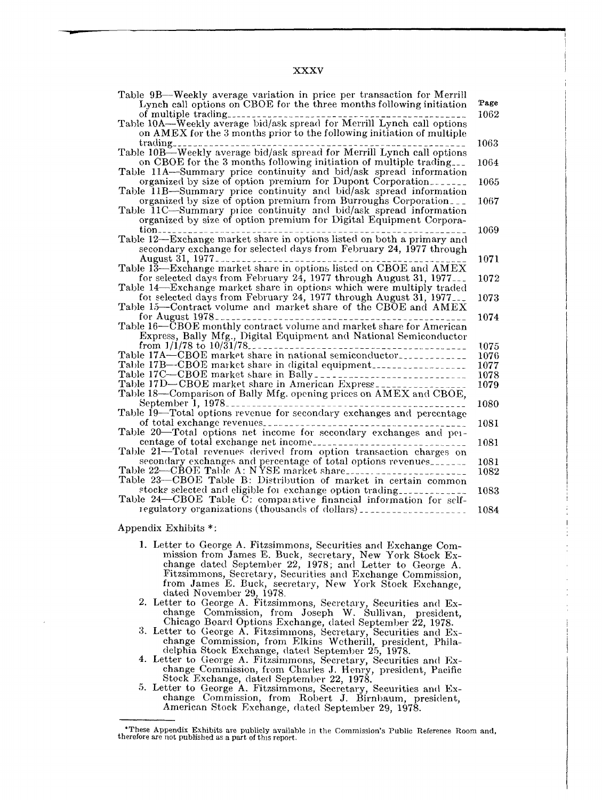XXXV

| Table 9B—Weekly average variation in price per transaction for Merrill |      |
|------------------------------------------------------------------------|------|
| Lynch call options on CBOE for the three months following initiation   | Page |
|                                                                        | 1062 |
|                                                                        |      |
| on AMEX for the 3 months prior to the following initiation of multiple |      |
|                                                                        | 1063 |
|                                                                        |      |
| on CBOE for the 3 months following initiation of multiple trading.     | 1064 |
| Table 11A-Summary price continuity and bid/ask spread information      |      |
| organized by size of option premium for Dupont Corporation             | 1065 |
| Table 11B-Summary price continuity and bid/ask spread information      |      |
| organized by size of option premium from Burroughs Corporation         | 1067 |
| Table 11C—Summary price continuity and bid/ask spread information      |      |
| organized by size of option premium for Digital Equipment Corpora-     |      |
|                                                                        | 1069 |
| Table 12—Exchange market share in options listed on both a primary and |      |
| secondary exchange for selected days from February 24, 1977 through    |      |
|                                                                        |      |
|                                                                        | 1071 |
|                                                                        |      |
| for selected days from February 24, 1977 through August 31, 1977       | 1072 |
| Table 14—Exchange market share in options which were multiply traded   |      |
| for selected days from February 24, 1977 through August 31, 1977       | 1073 |
| Table 15–Contract volume and market share of the CBOE and AMEX         |      |
| for August $1978$ -                                                    | 1074 |
| Table 16-CBOE monthly contract volume and market share for American    |      |
| Express, Bally Mfg., Digital Equipment and National Semiconductor      |      |
| from $1/1/78$ to $10/31/78$<br>--------------------                    | 1075 |
| Table 17A—CBOE market share in national semiconductor                  | 1076 |
| Table 17B-CBOE market share in digital equipment                       | 1077 |
|                                                                        | 1078 |
|                                                                        | 1079 |
| Table 18-Comparison of Bally Mfg. opening prices on AMEX and CBOE,     |      |
| September 1, 1978                                                      | 1080 |
| Table 19-Total options revenue for secondary exchanges and percentage  |      |
| of total exchange revenues                                             | 1081 |
| Table 20-Total options net income for secondary exchanges and per-     |      |
|                                                                        | 1081 |
| Table 21—Total revenues derived from option transaction charges on     |      |
| secondary exchanges and percentage of total options revenues.          | 1081 |
| Table 22-CBOE Table A: NYSE market share                               |      |
| Table 23-CBOE Table B: Distribution of market in certain common        | 1082 |
|                                                                        |      |
| stocks selected and eligible for exchange option trading               | 1083 |
| Table 24—CBOE Table C: comparative financial information for self-     |      |
| regulatory organizations (thousands of dollars).                       | 1084 |

#### Appendix Exhibits \*:

- 1. Letter to George A. Fitzsimmons, Securities and Exchange Commission from James E. Buck, secretary, New York Stock Exchange dated September 22, 1978; and Letter to George A. Fitzsimmons, Secretary, Securities and Exchange Commission, from James E. Buck, secretary, New York Stock Exchange, dated November 29, 1978.
- 2. Letter to George A. Fitzsimmons, Secretary, Securities and Exchange Commission, from Joseph W. Sullivan, president, Chicago Board Options Exchange, dated September 22, 1978.
- 3. Letter to George A. Fitzsimmons, Secretary, Securities and Exchange Commission, from Elkins Wctherill, president, Philadelphia Stock Exchange, dated September 25, 1978.
- 4. Letter to George A. Fitzsimmons, Secretary, Securities and Exchange Commission, from Charles J. Henry, president, Pacific Stock Exchange, dated September 22, 1978.
- 5. Letter to George A. Fitzsimmons, Secretary, Securities and Exchange Commission, from Robert J. Birnbaum, president, American Stock Exchange, dated September 29, 1978.

<sup>\*</sup>These Appendix Exhibits are publicly available in the Commission's Public Reference Roon therefore arc not published as a part of this report.